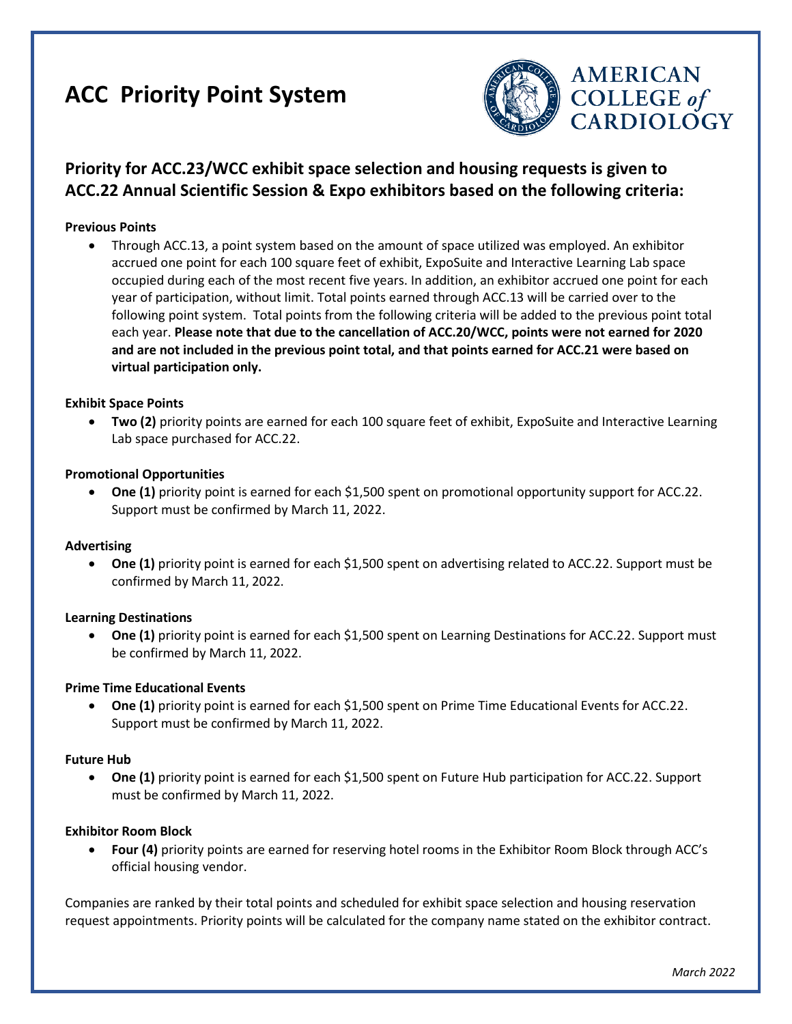# **ACC Priority Point System**



# **Priority for ACC.23/WCC exhibit space selection and housing requests is given to ACC.22 Annual Scientific Session & Expo exhibitors based on the following criteria:**

# **Previous Points**

• Through ACC.13, a point system based on the amount of space utilized was employed. An exhibitor accrued one point for each 100 square feet of exhibit, ExpoSuite and Interactive Learning Lab space occupied during each of the most recent five years. In addition, an exhibitor accrued one point for each year of participation, without limit. Total points earned through ACC.13 will be carried over to the following point system. Total points from the following criteria will be added to the previous point total each year. **Please note that due to the cancellation of ACC.20/WCC, points were not earned for 2020 and are not included in the previous point total, and that points earned for ACC.21 were based on virtual participation only.**

#### **Exhibit Space Points**

• **Two (2)** priority points are earned for each 100 square feet of exhibit, ExpoSuite and Interactive Learning Lab space purchased for ACC.22.

#### **Promotional Opportunities**

• One (1) priority point is earned for each \$1,500 spent on promotional opportunity support for ACC.22. Support must be confirmed by March 11, 2022.

#### **Advertising**

• **One (1)** priority point is earned for each \$1,500 spent on advertising related to ACC.22. Support must be confirmed by March 11, 2022.

#### **Learning Destinations**

• **One (1)** priority point is earned for each \$1,500 spent on Learning Destinations for ACC.22. Support must be confirmed by March 11, 2022.

#### **Prime Time Educational Events**

• **One (1)** priority point is earned for each \$1,500 spent on Prime Time Educational Events for ACC.22. Support must be confirmed by March 11, 2022.

#### **Future Hub**

• **One (1)** priority point is earned for each \$1,500 spent on Future Hub participation for ACC.22. Support must be confirmed by March 11, 2022.

#### **Exhibitor Room Block**

• **Four (4)** priority points are earned for reserving hotel rooms in the Exhibitor Room Block through ACC's official housing vendor.

Companies are ranked by their total points and scheduled for exhibit space selection and housing reservation request appointments. Priority points will be calculated for the company name stated on the exhibitor contract.